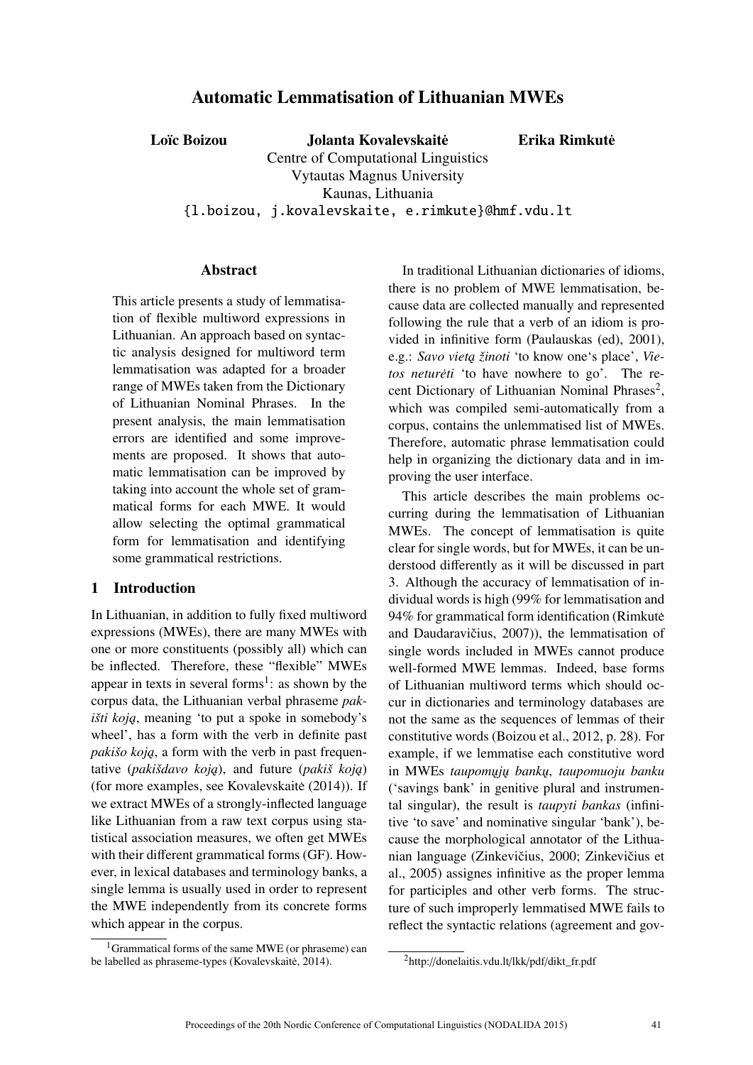# Automatic Lemmatisation of Lithuanian MWEs

Loïc Boizou Jolanta Kovalevskaitė

Erika Rimkute˙

Centre of Computational Linguistics Vytautas Magnus University Kaunas, Lithuania {l.boizou, j.kovalevskaite, e.rimkute}@hmf.vdu.lt

#### Abstract

This article presents a study of lemmatisation of flexible multiword expressions in Lithuanian. An approach based on syntactic analysis designed for multiword term lemmatisation was adapted for a broader range of MWEs taken from the Dictionary of Lithuanian Nominal Phrases. In the present analysis, the main lemmatisation errors are identified and some improvements are proposed. It shows that automatic lemmatisation can be improved by taking into account the whole set of grammatical forms for each MWE. It would allow selecting the optimal grammatical form for lemmatisation and identifying some grammatical restrictions.

### 1 Introduction

In Lithuanian, in addition to fully fixed multiword expressions (MWEs), there are many MWEs with one or more constituents (possibly all) which can be inflected. Therefore, these "flexible" MWEs appear in texts in several forms<sup>1</sup>: as shown by the corpus data, the Lithuanian verbal phraseme *pakišti koją*, meaning 'to put a spoke in somebody's wheel', has a form with the verb in definite past *pakišo koją*, a form with the verb in past frequentative (*pakišdavo koja*), and future (*pakiš koja*) (for more examples, see Kovalevskaite  $(2014)$ ). If we extract MWEs of a strongly-inflected language like Lithuanian from a raw text corpus using statistical association measures, we often get MWEs with their different grammatical forms (GF). However, in lexical databases and terminology banks, a single lemma is usually used in order to represent the MWE independently from its concrete forms which appear in the corpus.

 $1$ Grammatical forms of the same MWE (or phraseme) can be labelled as phraseme-types (Kovalevskaitė, 2014).

In traditional Lithuanian dictionaries of idioms, there is no problem of MWE lemmatisation, because data are collected manually and represented following the rule that a verb of an idiom is provided in infinitive form (Paulauskas (ed), 2001), e.g.: Savo vieta žinoti 'to know one's place', Vie*tos netureti* 'to have nowhere to go'. The recent Dictionary of Lithuanian Nominal Phrases<sup>2</sup>, which was compiled semi-automatically from a corpus, contains the unlemmatised list of MWEs. Therefore, automatic phrase lemmatisation could help in organizing the dictionary data and in improving the user interface.

This article describes the main problems occurring during the lemmatisation of Lithuanian MWEs. The concept of lemmatisation is quite clear for single words, but for MWEs, it can be understood differently as it will be discussed in part 3. Although the accuracy of lemmatisation of individual words is high (99% for lemmatisation and  $94\%$  for grammatical form identification (Rimkute $\dot{\phantom{a}}$ and Daudaravičius,  $2007$ ), the lemmatisation of single words included in MWEs cannot produce well-formed MWE lemmas. Indeed, base forms of Lithuanian multiword terms which should occur in dictionaries and terminology databases are not the same as the sequences of lemmas of their constitutive words (Boizou et al., 2012, p. 28). For example, if we lemmatise each constitutive word in MWEs taupomųjų bankų, taupomuoju banku ('savings bank' in genitive plural and instrumental singular), the result is *taupyti bankas* (infinitive 'to save' and nominative singular 'bank'), because the morphological annotator of the Lithuanian language (Zinkevičius, 2000; Zinkevičius et al., 2005) assignes infinitive as the proper lemma for participles and other verb forms. The structure of such improperly lemmatised MWE fails to reflect the syntactic relations (agreement and gov-

<sup>2</sup>http://donelaitis.vdu.lt/lkk/pdf/dikt\_fr.pdf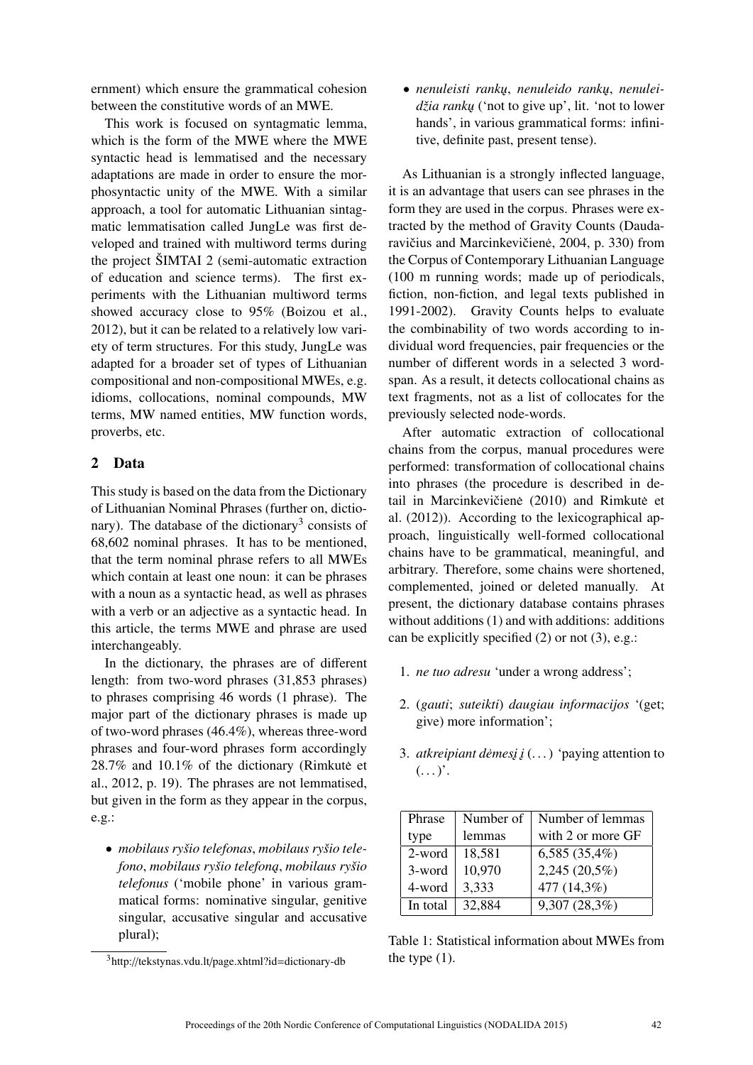ernment) which ensure the grammatical cohesion between the constitutive words of an MWE.

This work is focused on syntagmatic lemma, which is the form of the MWE where the MWE syntactic head is lemmatised and the necessary adaptations are made in order to ensure the morphosyntactic unity of the MWE. With a similar approach, a tool for automatic Lithuanian sintagmatic lemmatisation called JungLe was first developed and trained with multiword terms during the project ŠIMTAI 2 (semi-automatic extraction of education and science terms). The first experiments with the Lithuanian multiword terms showed accuracy close to 95% (Boizou et al., 2012), but it can be related to a relatively low variety of term structures. For this study, JungLe was adapted for a broader set of types of Lithuanian compositional and non-compositional MWEs, e.g. idioms, collocations, nominal compounds, MW terms, MW named entities, MW function words, proverbs, etc.

## 2 Data

This study is based on the data from the Dictionary of Lithuanian Nominal Phrases (further on, dictionary). The database of the dictionary<sup>3</sup> consists of 68,602 nominal phrases. It has to be mentioned, that the term nominal phrase refers to all MWEs which contain at least one noun: it can be phrases with a noun as a syntactic head, as well as phrases with a verb or an adjective as a syntactic head. In this article, the terms MWE and phrase are used interchangeably.

In the dictionary, the phrases are of different length: from two-word phrases (31,853 phrases) to phrases comprising 46 words (1 phrase). The major part of the dictionary phrases is made up of two-word phrases (46.4%), whereas three-word phrases and four-word phrases form accordingly  $28.7\%$  and  $10.1\%$  of the dictionary (Rimkute et al., 2012, p. 19). The phrases are not lemmatised, but given in the form as they appear in the corpus, e.g.:

• *mobilaus ryšio telefonas*, *mobilaus ryšio telefono*, *mobilaus ryšio telefon ˛a*, *mobilaus ryšio telefonus* ('mobile phone' in various grammatical forms: nominative singular, genitive singular, accusative singular and accusative plural);

• *nenuleisti rankų, nenuleido rankų, nenuleidžia ranku* ('not to give up', lit. 'not to lower hands', in various grammatical forms: infinitive, definite past, present tense).

As Lithuanian is a strongly inflected language, it is an advantage that users can see phrases in the form they are used in the corpus. Phrases were extracted by the method of Gravity Counts (Daudaravičius and Marcinkevičienė, 2004, p. 330) from the Corpus of Contemporary Lithuanian Language (100 m running words; made up of periodicals, fiction, non-fiction, and legal texts published in 1991-2002). Gravity Counts helps to evaluate the combinability of two words according to individual word frequencies, pair frequencies or the number of different words in a selected 3 wordspan. As a result, it detects collocational chains as text fragments, not as a list of collocates for the previously selected node-words.

After automatic extraction of collocational chains from the corpus, manual procedures were performed: transformation of collocational chains into phrases (the procedure is described in detail in Marcinkevičienė (2010) and Rimkutė et al. (2012)). According to the lexicographical approach, linguistically well-formed collocational chains have to be grammatical, meaningful, and arbitrary. Therefore, some chains were shortened, complemented, joined or deleted manually. At present, the dictionary database contains phrases without additions (1) and with additions: additions can be explicitly specified (2) or not (3), e.g.:

- 1. *ne tuo adresu* 'under a wrong address';
- 2. (*gauti*; *suteikti*) *daugiau informacijos* '(get; give) more information';
- 3. *atkreipiant dėmesį į* $(i \dots)$  'paying attention to  $(\ldots)^{n}$ .

| Phrase   | Number of | Number of lemmas  |  |
|----------|-----------|-------------------|--|
| type     | lemmas    | with 2 or more GF |  |
| 2-word   | 18,581    | $6,585(35,4\%)$   |  |
| 3-word   | 10,970    | 2,245 (20,5%)     |  |
| 4-word   | 3,333     | 477 (14,3%)       |  |
| In total | 32,884    | 9,307 (28,3%)     |  |

Table 1: Statistical information about MWEs from the type  $(1)$ .

<sup>3</sup>http://tekstynas.vdu.lt/page.xhtml?id=dictionary-db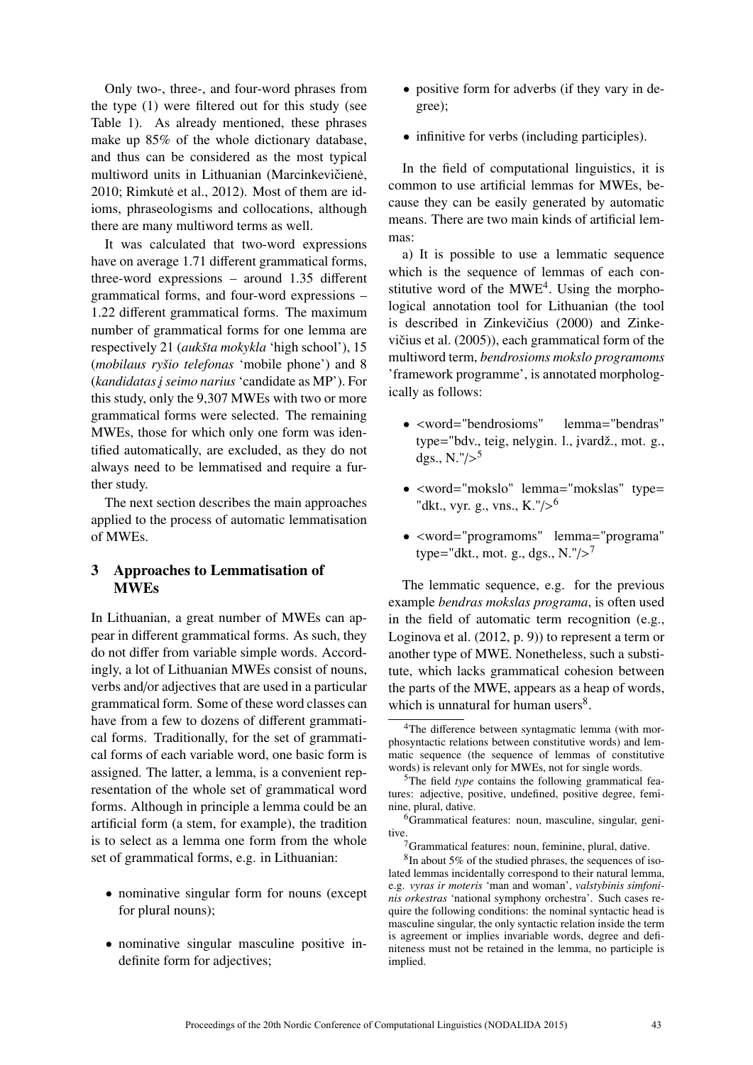Only two-, three-, and four-word phrases from the type (1) were filtered out for this study (see Table 1). As already mentioned, these phrases make up 85% of the whole dictionary database, and thus can be considered as the most typical multiword units in Lithuanian (Marcinkevičienė, 2010; Rimkutė et al., 2012). Most of them are idioms, phraseologisms and collocations, although there are many multiword terms as well.

It was calculated that two-word expressions have on average 1.71 different grammatical forms, three-word expressions – around 1.35 different grammatical forms, and four-word expressions – 1.22 different grammatical forms. The maximum number of grammatical forms for one lemma are respectively 21 (*aukšta mokykla* 'high school'), 15 (*mobilaus ryšio telefonas* 'mobile phone') and 8 (*kandidatas ˛i seimo narius* 'candidate as MP'). For this study, only the 9,307 MWEs with two or more grammatical forms were selected. The remaining MWEs, those for which only one form was identified automatically, are excluded, as they do not always need to be lemmatised and require a further study.

The next section describes the main approaches applied to the process of automatic lemmatisation of MWEs.

## 3 Approaches to Lemmatisation of **MWEs**

In Lithuanian, a great number of MWEs can appear in different grammatical forms. As such, they do not differ from variable simple words. Accordingly, a lot of Lithuanian MWEs consist of nouns, verbs and/or adjectives that are used in a particular grammatical form. Some of these word classes can have from a few to dozens of different grammatical forms. Traditionally, for the set of grammatical forms of each variable word, one basic form is assigned. The latter, a lemma, is a convenient representation of the whole set of grammatical word forms. Although in principle a lemma could be an artificial form (a stem, for example), the tradition is to select as a lemma one form from the whole set of grammatical forms, e.g. in Lithuanian:

- nominative singular form for nouns (except for plural nouns);
- nominative singular masculine positive indefinite form for adjectives;
- positive form for adverbs (if they vary in degree);
- infinitive for verbs (including participles).

In the field of computational linguistics, it is common to use artificial lemmas for MWEs, because they can be easily generated by automatic means. There are two main kinds of artificial lemmas:

a) It is possible to use a lemmatic sequence which is the sequence of lemmas of each constitutive word of the  $MWE<sup>4</sup>$ . Using the morphological annotation tool for Lithuanian (the tool is described in Zinkevičius (2000) and Zinkevičius et al.  $(2005)$ , each grammatical form of the multiword term, *bendrosioms mokslo programoms* 'framework programme', is annotated morphologically as follows:

- $\leq$ word="bendrosioms" lemma="bendras" type="bdv., teig, nelygin. l., įvardž., mot. g., dgs., N." $/$ ><sup>5</sup>
- <word="mokslo" lemma="mokslas" type= "dkt., vyr. g., vns.,  $K$ ."/><sup>6</sup>
- <word="programoms" lemma="programa" type="dkt., mot. g., dgs.,  $N$ ."/><sup>7</sup>

The lemmatic sequence, e.g. for the previous example *bendras mokslas programa*, is often used in the field of automatic term recognition (e.g., Loginova et al. (2012, p. 9)) to represent a term or another type of MWE. Nonetheless, such a substitute, which lacks grammatical cohesion between the parts of the MWE, appears as a heap of words, which is unnatural for human users $8$ .

<sup>4</sup>The difference between syntagmatic lemma (with morphosyntactic relations between constitutive words) and lemmatic sequence (the sequence of lemmas of constitutive words) is relevant only for MWEs, not for single words.

<sup>&</sup>lt;sup>5</sup>The field *type* contains the following grammatical features: adjective, positive, undefined, positive degree, feminine, plural, dative.

<sup>&</sup>lt;sup>6</sup>Grammatical features: noun, masculine, singular, genitive.

 $7$ Grammatical features: noun, feminine, plural, dative.

<sup>&</sup>lt;sup>8</sup>In about 5% of the studied phrases, the sequences of isolated lemmas incidentally correspond to their natural lemma, e.g. *vyras ir moteris* 'man and woman', *valstybinis simfoninis orkestras* 'national symphony orchestra'. Such cases require the following conditions: the nominal syntactic head is masculine singular, the only syntactic relation inside the term is agreement or implies invariable words, degree and definiteness must not be retained in the lemma, no participle is implied.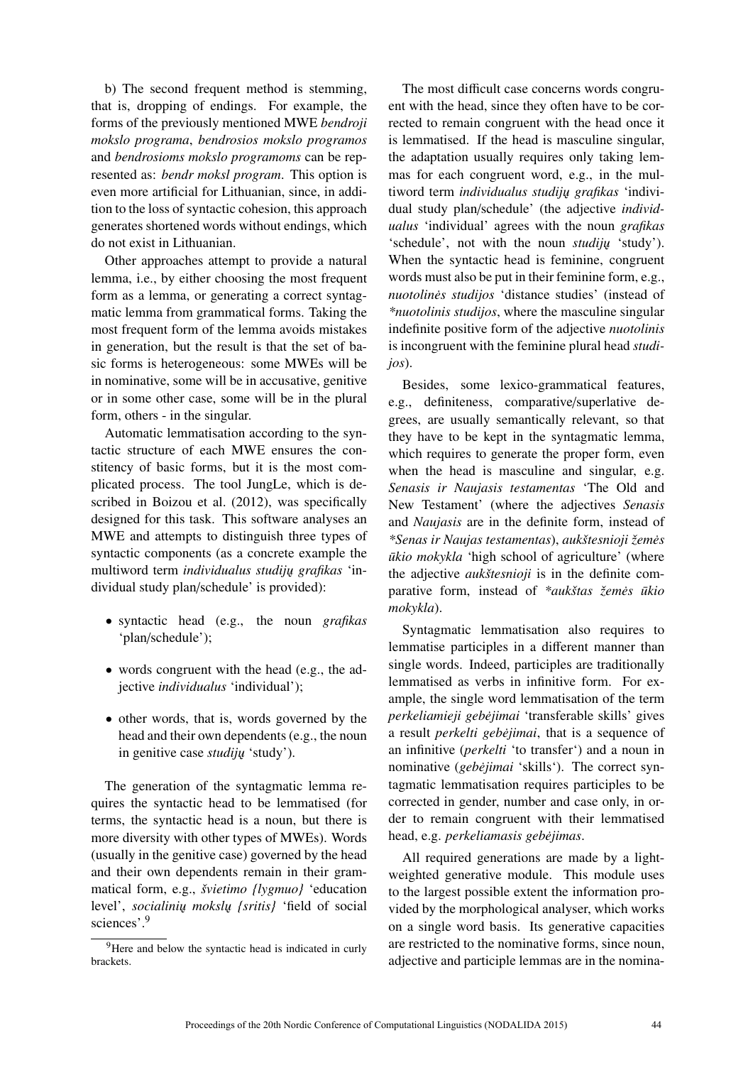b) The second frequent method is stemming, that is, dropping of endings. For example, the forms of the previously mentioned MWE *bendroji mokslo programa*, *bendrosios mokslo programos* and *bendrosioms mokslo programoms* can be represented as: *bendr moksl program*. This option is even more artificial for Lithuanian, since, in addition to the loss of syntactic cohesion, this approach generates shortened words without endings, which do not exist in Lithuanian.

Other approaches attempt to provide a natural lemma, i.e., by either choosing the most frequent form as a lemma, or generating a correct syntagmatic lemma from grammatical forms. Taking the most frequent form of the lemma avoids mistakes in generation, but the result is that the set of basic forms is heterogeneous: some MWEs will be in nominative, some will be in accusative, genitive or in some other case, some will be in the plural form, others - in the singular.

Automatic lemmatisation according to the syntactic structure of each MWE ensures the constitency of basic forms, but it is the most complicated process. The tool JungLe, which is described in Boizou et al. (2012), was specifically designed for this task. This software analyses an MWE and attempts to distinguish three types of syntactic components (as a concrete example the multiword term *individualus studijų grafikas* 'individual study plan/schedule' is provided):

- syntactic head (e.g., the noun *grafikas* 'plan/schedule');
- words congruent with the head (e.g., the adjective *individualus* 'individual');
- other words, that is, words governed by the head and their own dependents (e.g., the noun in genitive case *studijų* 'study').

The generation of the syntagmatic lemma requires the syntactic head to be lemmatised (for terms, the syntactic head is a noun, but there is more diversity with other types of MWEs). Words (usually in the genitive case) governed by the head and their own dependents remain in their grammatical form, e.g., *švietimo {lygmuo}* 'education level', *socialinių mokslų {sritis}* 'field of social sciences'.<sup>9</sup>

The most difficult case concerns words congruent with the head, since they often have to be corrected to remain congruent with the head once it is lemmatised. If the head is masculine singular, the adaptation usually requires only taking lemmas for each congruent word, e.g., in the multiword term *individualus studiju grafikas* 'individual study plan/schedule' (the adjective *individualus* 'individual' agrees with the noun *grafikas* 'schedule', not with the noun *studiju* 'study'). When the syntactic head is feminine, congruent words must also be put in their feminine form, e.g., *nuotolines studijos ˙* 'distance studies' (instead of *\*nuotolinis studijos*, where the masculine singular indefinite positive form of the adjective *nuotolinis* is incongruent with the feminine plural head *studijos*).

Besides, some lexico-grammatical features, e.g., definiteness, comparative/superlative degrees, are usually semantically relevant, so that they have to be kept in the syntagmatic lemma, which requires to generate the proper form, even when the head is masculine and singular, e.g. *Senasis ir Naujasis testamentas* 'The Old and New Testament' (where the adjectives *Senasis* and *Naujasis* are in the definite form, instead of *\*Senas ir Naujas testamentas*), *aukštesnioji žemes˙ ukio mokykla* 'high school of agriculture' (where the adjective *aukštesnioji* is in the definite comparative form, instead of \*aukštas žemės ūkio *mokykla*).

Syntagmatic lemmatisation also requires to lemmatise participles in a different manner than single words. Indeed, participles are traditionally lemmatised as verbs in infinitive form. For example, the single word lemmatisation of the term *perkeliamieji gebejimai ˙* 'transferable skills' gives a result *perkelti gebejimai*, that is a sequence of an infinitive (*perkelti* 'to transfer') and a noun in nominative (*gebejimai ˙* 'skills'). The correct syntagmatic lemmatisation requires participles to be corrected in gender, number and case only, in order to remain congruent with their lemmatised head, e.g. *perkeliamasis gebejimas ˙* .

All required generations are made by a lightweighted generative module. This module uses to the largest possible extent the information provided by the morphological analyser, which works on a single word basis. Its generative capacities are restricted to the nominative forms, since noun, adjective and participle lemmas are in the nomina-

<sup>&</sup>lt;sup>9</sup>Here and below the syntactic head is indicated in curly brackets.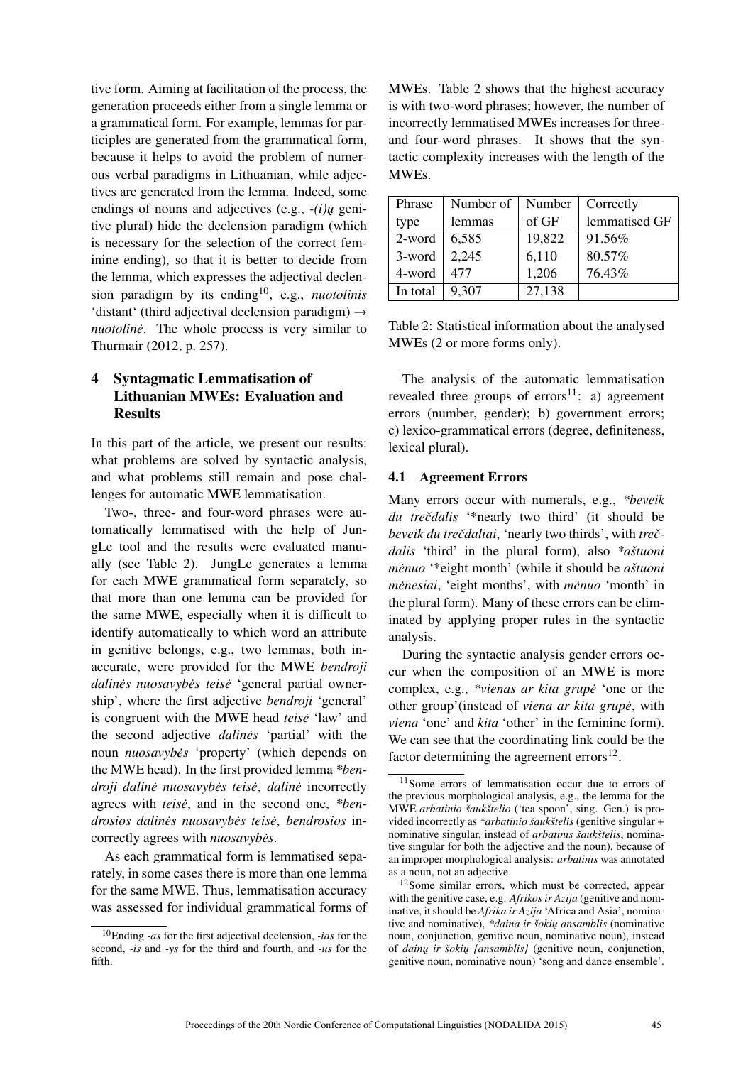tive form. Aiming at facilitation of the process, the generation proceeds either from a single lemma or a grammatical form. For example, lemmas for participles are generated from the grammatical form, because it helps to avoid the problem of numerous verbal paradigms in Lithuanian, while adjectives are generated from the lemma. Indeed, some endings of nouns and adjectives (e.g.,  $-i\nu$ *u* genitive plural) hide the declension paradigm (which is necessary for the selection of the correct feminine ending), so that it is better to decide from the lemma, which expresses the adjectival declension paradigm by its ending10, e.g., *nuotolinis* 'distant' (third adjectival declension paradigm)  $\rightarrow$ *nuotoline*<sup>*nuotoline*<sup>*nuotoline*<sup>*nuotoline*<sup>*n*</sup> and *n*<sup>n</sup></sup></sup></sup> Thurmair (2012, p. 257).

# 4 Syntagmatic Lemmatisation of Lithuanian MWEs: Evaluation and **Results**

In this part of the article, we present our results: what problems are solved by syntactic analysis, and what problems still remain and pose challenges for automatic MWE lemmatisation.

Two-, three- and four-word phrases were automatically lemmatised with the help of JungLe tool and the results were evaluated manually (see Table 2). JungLe generates a lemma for each MWE grammatical form separately, so that more than one lemma can be provided for the same MWE, especially when it is difficult to identify automatically to which word an attribute in genitive belongs, e.g., two lemmas, both inaccurate, were provided for the MWE *bendroji dalinės nuosavybės teisė* 'general partial ownership', where the first adjective *bendroji* 'general' is congruent with the MWE head *teise˙* 'law' and the second adjective *dalines˙* 'partial' with the noun *nuosavybes˙* 'property' (which depends on the MWE head). In the first provided lemma *\*bendroji daline nuosavyb ˙ es teis ˙ e˙*, *daline˙* incorrectly agrees with *teise*, and in the second one, *\*bendrosios dalines nuosavyb ˙ es teis ˙ e˙*, *bendrosios* incorrectly agrees with *nuosavybės*.

As each grammatical form is lemmatised separately, in some cases there is more than one lemma for the same MWE. Thus, lemmatisation accuracy was assessed for individual grammatical forms of

MWEs. Table 2 shows that the highest accuracy is with two-word phrases; however, the number of incorrectly lemmatised MWEs increases for threeand four-word phrases. It shows that the syntactic complexity increases with the length of the MWEs.

| Phrase   | Number of | Number | Correctly     |
|----------|-----------|--------|---------------|
| type     | lemmas    | of GF  | lemmatised GF |
| 2-word   | 6,585     | 19,822 | 91.56%        |
| 3-word   | 2,245     | 6,110  | 80.57%        |
| 4-word   | 477       | 1,206  | 76.43%        |
| In total | 9.307     | 27,138 |               |

Table 2: Statistical information about the analysed MWEs (2 or more forms only).

The analysis of the automatic lemmatisation revealed three groups of  $\arccos^{11}$ : a) agreement errors (number, gender); b) government errors; c) lexico-grammatical errors (degree, definiteness, lexical plural).

#### 4.1 Agreement Errors

Many errors occur with numerals, e.g., *\*beveik du treˇcdalis* '\*nearly two third' (it should be *beveik du treˇcdaliai*, 'nearly two thirds', with *treˇcdalis* 'third' in the plural form), also *\*aštuoni menuo ˙* '\*eight month' (while it should be *aštuoni menesiai*, *'eight months'*, with *menuo* 'month' in the plural form). Many of these errors can be eliminated by applying proper rules in the syntactic analysis.

During the syntactic analysis gender errors occur when the composition of an MWE is more complex, e.g., *\*vienas ar kita grupe˙* 'one or the other group'(instead of *viena ar kita grupe˙*, with *viena* 'one' and *kita* 'other' in the feminine form). We can see that the coordinating link could be the factor determining the agreement errors $^{12}$ .

<sup>10</sup>Ending *-as* for the first adjectival declension, *-ias* for the second, *-is* and *-ys* for the third and fourth, and *-us* for the fifth.

<sup>11</sup>Some errors of lemmatisation occur due to errors of the previous morphological analysis, e.g., the lemma for the MWE *arbatinio šaukštelio* ('tea spoon', sing. Gen.) is provided incorrectly as *\*arbatinio šaukštelis* (genitive singular + nominative singular, instead of *arbatinis šaukštelis*, nominative singular for both the adjective and the noun), because of an improper morphological analysis: *arbatinis* was annotated as a noun, not an adjective.

<sup>12</sup>Some similar errors, which must be corrected, appear with the genitive case, e.g. *Afrikos ir Azija* (genitive and nominative, it should be *Afrika ir Azija* 'Africa and Asia', nominative and nominative), *\*daina ir šokiu ansamblis* (nominative noun, conjunction, genitive noun, nominative noun), instead of *dainu ir šokių {ansamblis}* (genitive noun, conjunction, genitive noun, nominative noun) 'song and dance ensemble'.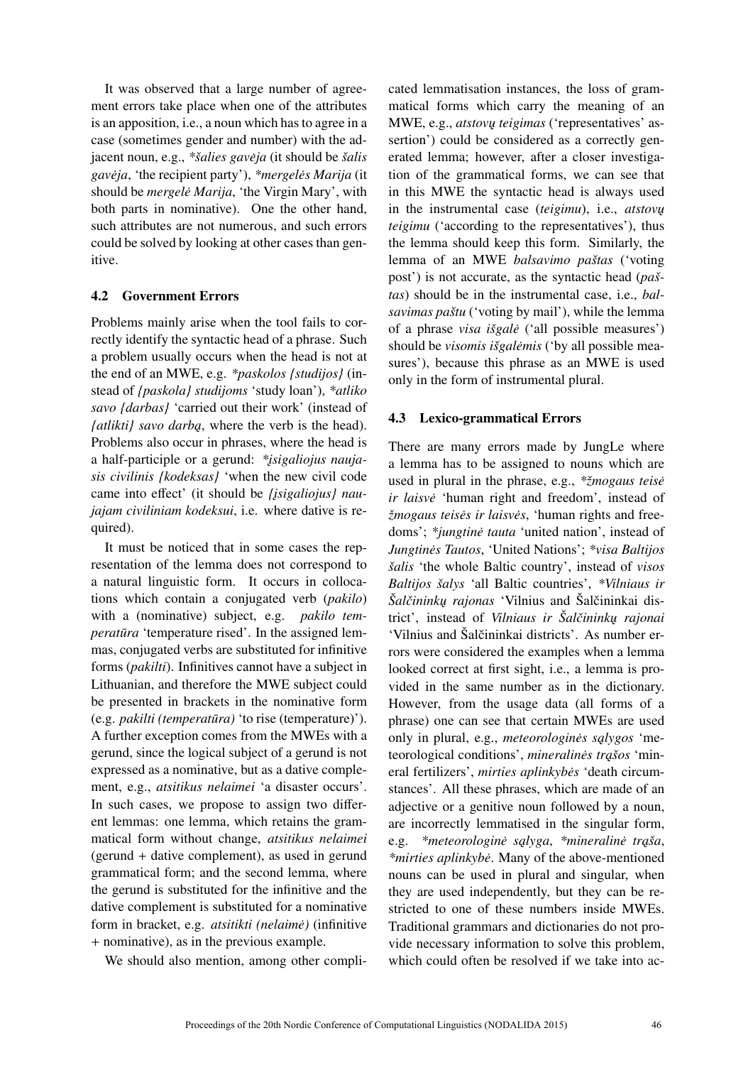It was observed that a large number of agreement errors take place when one of the attributes is an apposition, i.e., a noun which has to agree in a case (sometimes gender and number) with the adjacent noun, e.g., *\*šalies gaveja ˙* (it should be *šalis gaveja ˙* , 'the recipient party'), *\*mergeles Marija ˙* (it should be *mergele Marija*, 'the Virgin Mary', with both parts in nominative). One the other hand, such attributes are not numerous, and such errors could be solved by looking at other cases than genitive.

### 4.2 Government Errors

Problems mainly arise when the tool fails to correctly identify the syntactic head of a phrase. Such a problem usually occurs when the head is not at the end of an MWE, e.g. *\*paskolos {studijos}* (instead of *{paskola} studijoms* 'study loan'), *\*atliko savo {darbas}* 'carried out their work' (instead of *{atlikti} savo darba*, where the verb is the head). Problems also occur in phrases, where the head is a half-participle or a gerund: *\*isigaliojus naujasis civilinis {kodeksas}* 'when the new civil code came into effect' (it should be *{isigaliojus} naujajam civiliniam kodeksui*, i.e. where dative is required).

It must be noticed that in some cases the representation of the lemma does not correspond to a natural linguistic form. It occurs in collocations which contain a conjugated verb (*pakilo*) with a (nominative) subject, e.g. *pakilo temperatūra* 'temperature rised'. In the assigned lemmas, conjugated verbs are substituted for infinitive forms (*pakilti*). Infinitives cannot have a subject in Lithuanian, and therefore the MWE subject could be presented in brackets in the nominative form (e.g. *pakilti (temperatūra)* 'to rise (temperature)'). A further exception comes from the MWEs with a gerund, since the logical subject of a gerund is not expressed as a nominative, but as a dative complement, e.g., *atsitikus nelaimei* 'a disaster occurs'. In such cases, we propose to assign two different lemmas: one lemma, which retains the grammatical form without change, *atsitikus nelaimei* (gerund + dative complement), as used in gerund grammatical form; and the second lemma, where the gerund is substituted for the infinitive and the dative complement is substituted for a nominative form in bracket, e.g. *atsitikti (nelaimė)* (infinitive + nominative), as in the previous example.

We should also mention, among other compli-

cated lemmatisation instances, the loss of grammatical forms which carry the meaning of an MWE, e.g., *atstovu teigimas* ('representatives' assertion') could be considered as a correctly generated lemma; however, after a closer investigation of the grammatical forms, we can see that in this MWE the syntactic head is always used in the instrumental case *(teigimu)*, i.e., *atstovu teigimu* ('according to the representatives'), thus the lemma should keep this form. Similarly, the lemma of an MWE *balsavimo paštas* ('voting post') is not accurate, as the syntactic head (*paštas*) should be in the instrumental case, i.e., *balsavimas paštu* ('voting by mail'), while the lemma of a phrase *visa išgale˙* ('all possible measures') should be *visomis išgalemis ˙* ('by all possible measures'), because this phrase as an MWE is used only in the form of instrumental plural.

## 4.3 Lexico-grammatical Errors

There are many errors made by JungLe where a lemma has to be assigned to nouns which are used in plural in the phrase, e.g., *\*žmogaus teise˙ ir laisve˙* 'human right and freedom', instead of *žmogaus teisės ir laisvės*, 'human rights and freedoms'; \**jungtine tauta* 'united nation', instead of *Jungtines Tautos ˙* , 'United Nations'; *\*visa Baltijos šalis* 'the whole Baltic country', instead of *visos Baltijos šalys* 'all Baltic countries', *\*Vilniaus ir Šalčininkų rajonas* 'Vilnius and Šalčininkai district', instead of *Vilniaus ir Šalčininku rajonai* 'Vilnius and Šalčininkai districts'. As number errors were considered the examples when a lemma looked correct at first sight, i.e., a lemma is provided in the same number as in the dictionary. However, from the usage data (all forms of a phrase) one can see that certain MWEs are used only in plural, e.g., *meteorologines salygos* 'meteorological conditions', *mineralines trašos* 'mineral fertilizers', *mirties aplinkybes˙* 'death circumstances'. All these phrases, which are made of an adjective or a genitive noun followed by a noun, are incorrectly lemmatised in the singular form, e.g. *\*meteorologinė salvga, \*mineralinė traša, \*mirties aplinkybe˙*. Many of the above-mentioned nouns can be used in plural and singular, when they are used independently, but they can be restricted to one of these numbers inside MWEs. Traditional grammars and dictionaries do not provide necessary information to solve this problem, which could often be resolved if we take into ac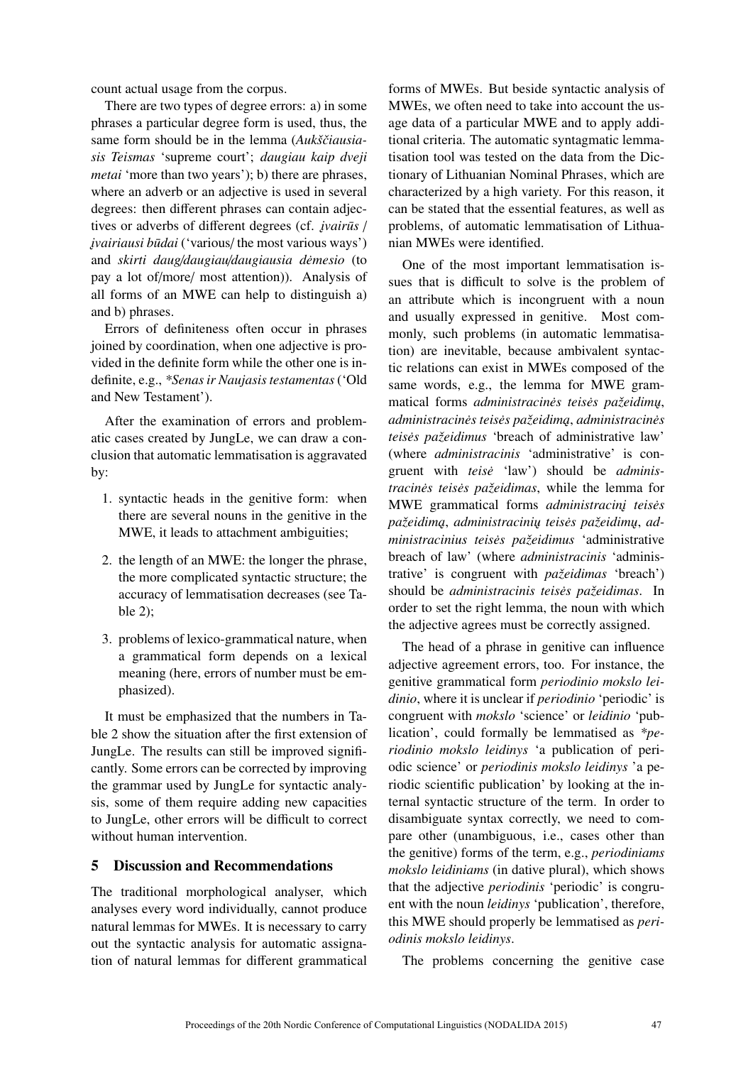count actual usage from the corpus.

There are two types of degree errors: a) in some phrases a particular degree form is used, thus, the same form should be in the lemma (Aukščiausia*sis Teismas* 'supreme court'; *daugiau kaip dveji metai* 'more than two years'); b) there are phrases, where an adverb or an adjective is used in several degrees: then different phrases can contain adjectives or adverbs of different degrees (cf. *<i>ivairus* / *jvairiausi būdai* ('various/ the most various ways') and *skirti daug*/*daugiau*/*daugiausia demesio ˙* (to pay a lot of/more/ most attention)). Analysis of all forms of an MWE can help to distinguish a) and b) phrases.

Errors of definiteness often occur in phrases joined by coordination, when one adjective is provided in the definite form while the other one is indefinite, e.g., *\*Senas ir Naujasis testamentas*('Old and New Testament').

After the examination of errors and problematic cases created by JungLe, we can draw a conclusion that automatic lemmatisation is aggravated by:

- 1. syntactic heads in the genitive form: when there are several nouns in the genitive in the MWE, it leads to attachment ambiguities;
- 2. the length of an MWE: the longer the phrase, the more complicated syntactic structure; the accuracy of lemmatisation decreases (see Table 2);
- 3. problems of lexico-grammatical nature, when a grammatical form depends on a lexical meaning (here, errors of number must be emphasized).

It must be emphasized that the numbers in Table 2 show the situation after the first extension of JungLe. The results can still be improved significantly. Some errors can be corrected by improving the grammar used by JungLe for syntactic analysis, some of them require adding new capacities to JungLe, other errors will be difficult to correct without human intervention.

### 5 Discussion and Recommendations

The traditional morphological analyser, which analyses every word individually, cannot produce natural lemmas for MWEs. It is necessary to carry out the syntactic analysis for automatic assignation of natural lemmas for different grammatical

forms of MWEs. But beside syntactic analysis of MWEs, we often need to take into account the usage data of a particular MWE and to apply additional criteria. The automatic syntagmatic lemmatisation tool was tested on the data from the Dictionary of Lithuanian Nominal Phrases, which are characterized by a high variety. For this reason, it can be stated that the essential features, as well as problems, of automatic lemmatisation of Lithuanian MWEs were identified.

One of the most important lemmatisation issues that is difficult to solve is the problem of an attribute which is incongruent with a noun and usually expressed in genitive. Most commonly, such problems (in automatic lemmatisation) are inevitable, because ambivalent syntactic relations can exist in MWEs composed of the same words, e.g., the lemma for MWE grammatical forms *administracines teises pažeidimų*, *administracines teis ˙ es pažeidim ˛a ˙* , *administracines˙ teises pažeidimus ˙* 'breach of administrative law' (where *administracinis* 'administrative' is congruent with *teise˙* 'law') should be *administracines teis ˙ es pažeidimas ˙* , while the lemma for MWE grammatical forms *administracini teises* pažeidimą, administracinių teisės pažeidimų, ad*ministracinius teises pažeidimus ˙* 'administrative breach of law' (where *administracinis* 'administrative' is congruent with *pažeidimas* 'breach') should be *administracinis teises pažeidimas ˙* . In order to set the right lemma, the noun with which the adjective agrees must be correctly assigned.

The head of a phrase in genitive can influence adjective agreement errors, too. For instance, the genitive grammatical form *periodinio mokslo leidinio*, where it is unclear if *periodinio* 'periodic' is congruent with *mokslo* 'science' or *leidinio* 'publication', could formally be lemmatised as *\*periodinio mokslo leidinys* 'a publication of periodic science' or *periodinis mokslo leidinys* 'a periodic scientific publication' by looking at the internal syntactic structure of the term. In order to disambiguate syntax correctly, we need to compare other (unambiguous, i.e., cases other than the genitive) forms of the term, e.g., *periodiniams mokslo leidiniams* (in dative plural), which shows that the adjective *periodinis* 'periodic' is congruent with the noun *leidinys* 'publication', therefore, this MWE should properly be lemmatised as *periodinis mokslo leidinys*.

The problems concerning the genitive case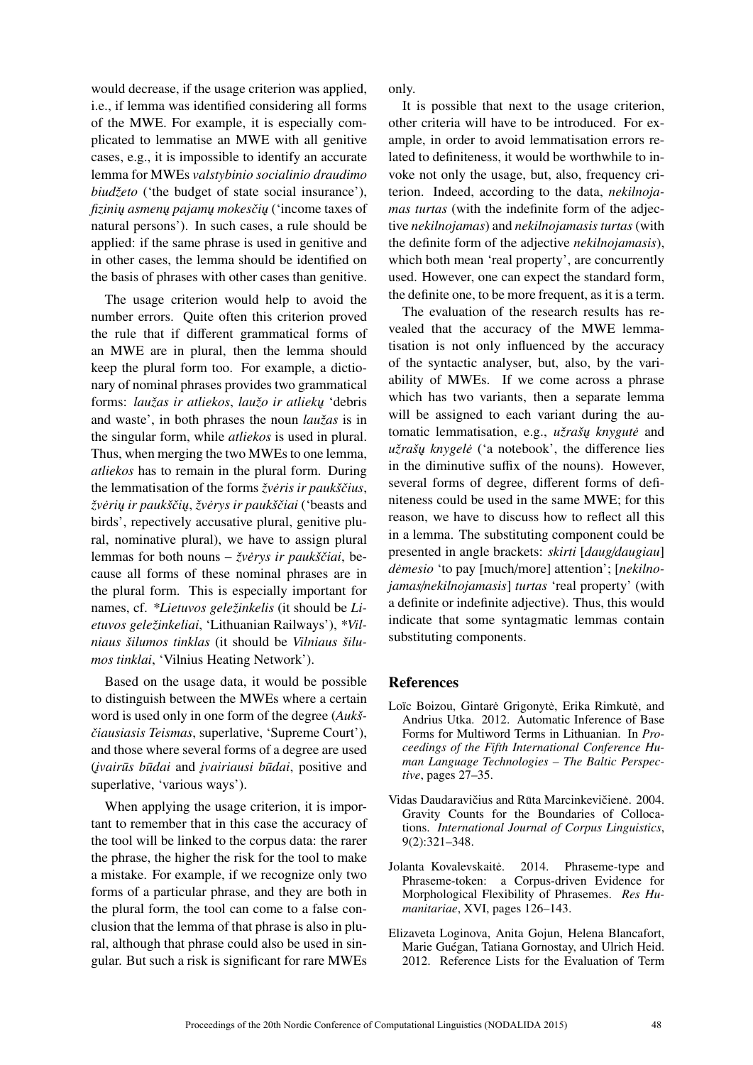would decrease, if the usage criterion was applied, i.e., if lemma was identified considering all forms of the MWE. For example, it is especially complicated to lemmatise an MWE with all genitive cases, e.g., it is impossible to identify an accurate lemma for MWEs *valstybinio socialinio draudimo biudžeto* ('the budget of state social insurance'), *fizinių asmenų pajamų mokesčių* ('income taxes of natural persons'). In such cases, a rule should be applied: if the same phrase is used in genitive and in other cases, the lemma should be identified on the basis of phrases with other cases than genitive.

The usage criterion would help to avoid the number errors. Quite often this criterion proved the rule that if different grammatical forms of an MWE are in plural, then the lemma should keep the plural form too. For example, a dictionary of nominal phrases provides two grammatical forms: *laužas ir atliekos*, *laužo ir atliekų* 'debris and waste', in both phrases the noun *laužas* is in the singular form, while *atliekos* is used in plural. Thus, when merging the two MWEs to one lemma, *atliekos* has to remain in the plural form. During the lemmatisation of the forms *žveris ir paukščius*, *žveri ˛u ir paukšˇci ˛u ˙* , *žverys ir paukšˇciai ˙* ('beasts and birds', repectively accusative plural, genitive plural, nominative plural), we have to assign plural lemmas for both nouns – *žvėrys ir paukščiai*, because all forms of these nominal phrases are in the plural form. This is especially important for names, cf. *\*Lietuvos geležinkelis* (it should be *Lietuvos geležinkeliai*, 'Lithuanian Railways'), *\*Vilniaus šilumos tinklas* (it should be *Vilniaus šilumos tinklai*, 'Vilnius Heating Network').

Based on the usage data, it would be possible to distinguish between the MWEs where a certain word is used only in one form of the degree (*Aukš-ˇciausiasis Teismas*, superlative, 'Supreme Court'), and those where several forms of a degree are used (*˛ivairus b ¯ udai ¯* and *˛ivairiausi budai ¯* , positive and superlative, 'various ways').

When applying the usage criterion, it is important to remember that in this case the accuracy of the tool will be linked to the corpus data: the rarer the phrase, the higher the risk for the tool to make a mistake. For example, if we recognize only two forms of a particular phrase, and they are both in the plural form, the tool can come to a false conclusion that the lemma of that phrase is also in plural, although that phrase could also be used in singular. But such a risk is significant for rare MWEs only.

It is possible that next to the usage criterion, other criteria will have to be introduced. For example, in order to avoid lemmatisation errors related to definiteness, it would be worthwhile to invoke not only the usage, but, also, frequency criterion. Indeed, according to the data, *nekilnojamas turtas* (with the indefinite form of the adjective *nekilnojamas*) and *nekilnojamasis turtas* (with the definite form of the adjective *nekilnojamasis*), which both mean 'real property', are concurrently used. However, one can expect the standard form, the definite one, to be more frequent, as it is a term.

The evaluation of the research results has revealed that the accuracy of the MWE lemmatisation is not only influenced by the accuracy of the syntactic analyser, but, also, by the variability of MWEs. If we come across a phrase which has two variants, then a separate lemma will be assigned to each variant during the automatic lemmatisation, e.g., *užrašų knygutė* and *užrašų knygelė* ('a notebook', the difference lies in the diminutive suffix of the nouns). However, several forms of degree, different forms of definiteness could be used in the same MWE; for this reason, we have to discuss how to reflect all this in a lemma. The substituting component could be presented in angle brackets: *skirti* [*daug*/*daugiau*] *demesio ˙* 'to pay [much/more] attention'; [*nekilnojamas*/*nekilnojamasis*] *turtas* 'real property' (with a definite or indefinite adjective). Thus, this would indicate that some syntagmatic lemmas contain substituting components.

#### References

- Loïc Boizou, Gintarė Grigonytė, Erika Rimkutė, and Andrius Utka. 2012. Automatic Inference of Base Forms for Multiword Terms in Lithuanian. In *Proceedings of the Fifth International Conference Human Language Technologies – The Baltic Perspective*, pages 27–35.
- Vidas Daudaravičius and Rūta Marcinkevičienė. 2004. Gravity Counts for the Boundaries of Collocations. *International Journal of Corpus Linguistics*, 9(2):321–348.
- Jolanta Kovalevskaitė. 2014. Phraseme-type and Phraseme-token: a Corpus-driven Evidence for Morphological Flexibility of Phrasemes. *Res Humanitariae*, XVI, pages 126–143.
- Elizaveta Loginova, Anita Gojun, Helena Blancafort, Marie Guégan, Tatiana Gornostay, and Ulrich Heid. 2012. Reference Lists for the Evaluation of Term